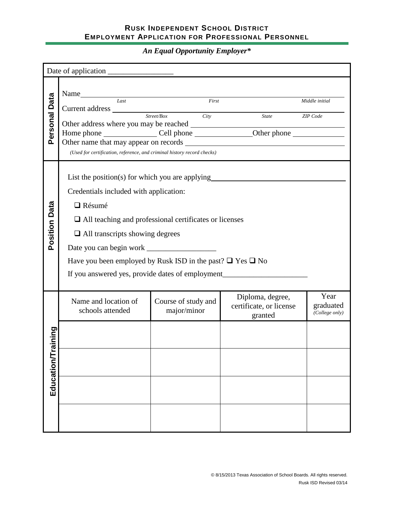*An Equal Opportunity Employer\**

| Personal Data         | Name Iast First First State Contains First State Contains First State Contains First State Contains First State Contains First State Contains First State Contains First State Contains First State Contains First State Conta<br>Current address Street/Box City<br>(Used for certification, reference, and criminal history record checks)                                      |                                    | State                                                  | Middle initial<br><b>ZIP</b> Code   |  |  |  |  |
|-----------------------|-----------------------------------------------------------------------------------------------------------------------------------------------------------------------------------------------------------------------------------------------------------------------------------------------------------------------------------------------------------------------------------|------------------------------------|--------------------------------------------------------|-------------------------------------|--|--|--|--|
| <b>Position Data</b>  | List the position(s) for which you are applying<br>Credentials included with application:<br>$\Box$ Résumé<br>$\Box$ All teaching and professional certificates or licenses<br>$\Box$ All transcripts showing degrees<br>Have you been employed by Rusk ISD in the past? $\Box$ Yes $\Box$ No<br>If you answered yes, provide dates of employment________________________________ |                                    |                                                        |                                     |  |  |  |  |
| aining<br>Education/T | Name and location of<br>schools attended                                                                                                                                                                                                                                                                                                                                          | Course of study and<br>major/minor | Diploma, degree,<br>certificate, or license<br>granted | Year<br>graduated<br>(College only) |  |  |  |  |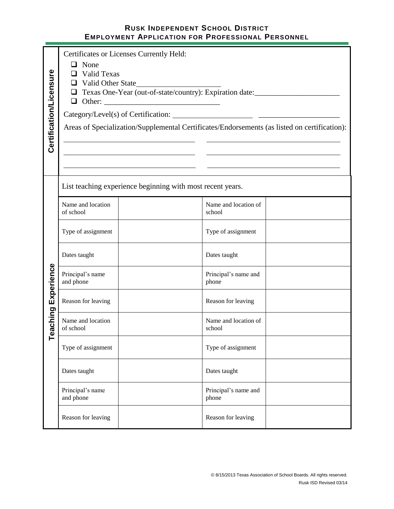| Certification/Licensure | $\Box$ None<br>◻<br>$\Box$<br>Other: | Certificates or Licenses Currently Held:<br><b>Valid Texas</b><br>$\Box$ Valid Other State<br>Texas One-Year (out-of-state/country): Expiration date:<br><u> 1989 - Johann Barn, fransk politik amerikansk politik (</u><br>Areas of Specialization/Supplemental Certificates/Endorsements (as listed on certification): |                                |  |  |  |  |
|-------------------------|--------------------------------------|--------------------------------------------------------------------------------------------------------------------------------------------------------------------------------------------------------------------------------------------------------------------------------------------------------------------------|--------------------------------|--|--|--|--|
|                         |                                      | List teaching experience beginning with most recent years.                                                                                                                                                                                                                                                               |                                |  |  |  |  |
|                         | Name and location<br>of school       |                                                                                                                                                                                                                                                                                                                          | Name and location of<br>school |  |  |  |  |
|                         | Type of assignment                   |                                                                                                                                                                                                                                                                                                                          | Type of assignment             |  |  |  |  |
| Experience              | Dates taught                         |                                                                                                                                                                                                                                                                                                                          | Dates taught                   |  |  |  |  |
|                         | Principal's name<br>and phone        |                                                                                                                                                                                                                                                                                                                          | Principal's name and<br>phone  |  |  |  |  |
|                         | Reason for leaving                   |                                                                                                                                                                                                                                                                                                                          | Reason for leaving             |  |  |  |  |
| aching<br>ڡ             | Name and location<br>of school       |                                                                                                                                                                                                                                                                                                                          | Name and location of<br>school |  |  |  |  |
|                         | Type of assignment                   |                                                                                                                                                                                                                                                                                                                          | Type of assignment             |  |  |  |  |
|                         | Dates taught                         |                                                                                                                                                                                                                                                                                                                          | Dates taught                   |  |  |  |  |
|                         | Principal's name<br>and phone        |                                                                                                                                                                                                                                                                                                                          | Principal's name and<br>phone  |  |  |  |  |
|                         | Reason for leaving                   |                                                                                                                                                                                                                                                                                                                          | Reason for leaving             |  |  |  |  |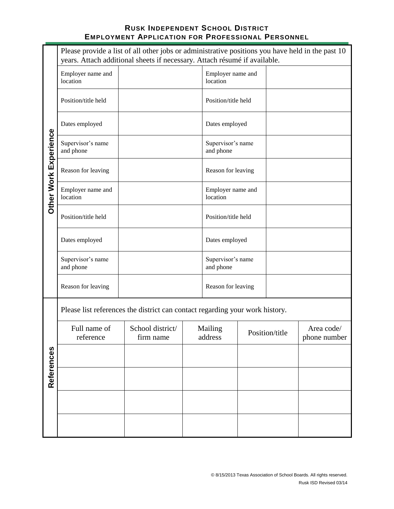| Please provide a list of all other jobs or administrative positions you have held in the past 10<br>years. Attach additional sheets if necessary. Attach résumé if available. |                                                                              |                               |                               |                                |  |                |                            |
|-------------------------------------------------------------------------------------------------------------------------------------------------------------------------------|------------------------------------------------------------------------------|-------------------------------|-------------------------------|--------------------------------|--|----------------|----------------------------|
|                                                                                                                                                                               | Employer name and<br>location                                                |                               | Employer name and<br>location |                                |  |                |                            |
|                                                                                                                                                                               | Position/title held                                                          |                               |                               | Position/title held            |  |                |                            |
|                                                                                                                                                                               | Dates employed                                                               |                               |                               | Dates employed                 |  |                |                            |
|                                                                                                                                                                               | Supervisor's name<br>and phone                                               |                               |                               | Supervisor's name<br>and phone |  |                |                            |
|                                                                                                                                                                               | Reason for leaving                                                           |                               |                               | Reason for leaving             |  |                |                            |
| Other Work Experience                                                                                                                                                         | Employer name and<br>location                                                |                               |                               | Employer name and<br>location  |  |                |                            |
|                                                                                                                                                                               | Position/title held                                                          |                               |                               | Position/title held            |  |                |                            |
|                                                                                                                                                                               | Dates employed                                                               |                               |                               | Dates employed                 |  |                |                            |
|                                                                                                                                                                               | Supervisor's name<br>and phone                                               |                               |                               | Supervisor's name<br>and phone |  |                |                            |
|                                                                                                                                                                               | Reason for leaving                                                           |                               |                               | Reason for leaving             |  |                |                            |
|                                                                                                                                                                               | Please list references the district can contact regarding your work history. |                               |                               |                                |  |                |                            |
|                                                                                                                                                                               | Full name of<br>reference                                                    | School district/<br>firm name |                               | Mailing<br>address             |  | Position/title | Area code/<br>phone number |
|                                                                                                                                                                               |                                                                              |                               |                               |                                |  |                |                            |
| References                                                                                                                                                                    |                                                                              |                               |                               |                                |  |                |                            |
|                                                                                                                                                                               |                                                                              |                               |                               |                                |  |                |                            |
|                                                                                                                                                                               |                                                                              |                               |                               |                                |  |                |                            |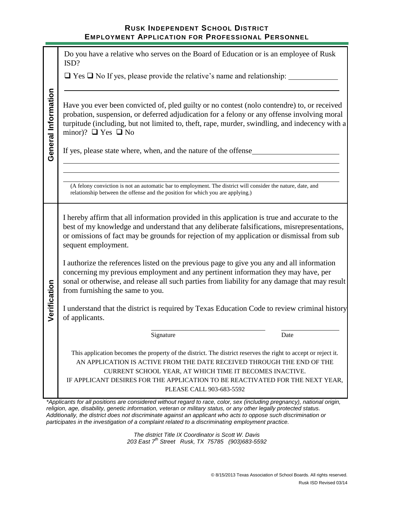|                     | Do you have a relative who serves on the Board of Education or is an employee of Rusk<br>ISD?                                                                                                                                                                                                                                                                    |  |  |  |  |  |
|---------------------|------------------------------------------------------------------------------------------------------------------------------------------------------------------------------------------------------------------------------------------------------------------------------------------------------------------------------------------------------------------|--|--|--|--|--|
|                     | $\Box$ Yes $\Box$ No If yes, please provide the relative's name and relationship:                                                                                                                                                                                                                                                                                |  |  |  |  |  |
| General Information | Have you ever been convicted of, pled guilty or no contest (nolo contendre) to, or received<br>probation, suspension, or deferred adjudication for a felony or any offense involving moral<br>turpitude (including, but not limited to, theft, rape, murder, swindling, and indecency with a<br>minor)? $\Box$ Yes $\Box$ No                                     |  |  |  |  |  |
|                     | If yes, please state where, when, and the nature of the offense                                                                                                                                                                                                                                                                                                  |  |  |  |  |  |
|                     | (A felony conviction is not an automatic bar to employment. The district will consider the nature, date, and<br>relationship between the offense and the position for which you are applying.)                                                                                                                                                                   |  |  |  |  |  |
|                     | I hereby affirm that all information provided in this application is true and accurate to the<br>best of my knowledge and understand that any deliberate falsifications, misrepresentations,<br>or omissions of fact may be grounds for rejection of my application or dismissal from sub<br>sequent employment.                                                 |  |  |  |  |  |
|                     | I authorize the references listed on the previous page to give you any and all information<br>concerning my previous employment and any pertinent information they may have, per<br>sonal or otherwise, and release all such parties from liability for any damage that may result<br>from furnishing the same to you.                                           |  |  |  |  |  |
| Verification        | I understand that the district is required by Texas Education Code to review criminal history<br>of applicants.                                                                                                                                                                                                                                                  |  |  |  |  |  |
|                     | Signature<br>Date                                                                                                                                                                                                                                                                                                                                                |  |  |  |  |  |
|                     | This application becomes the property of the district. The district reserves the right to accept or reject it.<br>AN APPLICATION IS ACTIVE FROM THE DATE RECEIVED THROUGH THE END OF THE<br>CURRENT SCHOOL YEAR, AT WHICH TIME IT BECOMES INACTIVE.<br>IF APPLICANT DESIRES FOR THE APPLICATION TO BE REACTIVATED FOR THE NEXT YEAR,<br>PLEASE CALL 903-683-5592 |  |  |  |  |  |

*\*Applicants for all positions are considered without regard to race, color, sex (including pregnancy), national origin, religion, age, disability, genetic information, veteran or military status, or any other legally protected status. Additionally, the district does not discriminate against an applicant who acts to oppose such discrimination or participates in the investigation of a complaint related to a discriminating employment practice.*

> *The district Title IX Coordinator is Scott W. Davis 203 East 7th Street Rusk, TX 75785 (903)683-5592*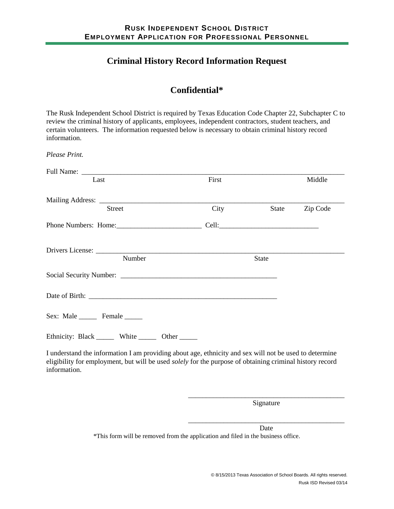# **Criminal History Record Information Request**

# **Confidential\***

The Rusk Independent School District is required by Texas Education Code Chapter 22, Subchapter C to review the criminal history of applicants, employees, independent contractors, student teachers, and certain volunteers. The information requested below is necessary to obtain criminal history record information.

*Please Print.*

| Last                                                                                                                                                                                                               | First |              | Middle   |
|--------------------------------------------------------------------------------------------------------------------------------------------------------------------------------------------------------------------|-------|--------------|----------|
|                                                                                                                                                                                                                    |       |              |          |
| <b>Street</b>                                                                                                                                                                                                      | City  | State        | Zip Code |
|                                                                                                                                                                                                                    |       |              |          |
|                                                                                                                                                                                                                    |       |              |          |
| Number                                                                                                                                                                                                             |       | <b>State</b> |          |
|                                                                                                                                                                                                                    |       |              |          |
|                                                                                                                                                                                                                    |       |              |          |
| Sex: Male Female                                                                                                                                                                                                   |       |              |          |
| Ethnicity: Black _______ White _______ Other ______                                                                                                                                                                |       |              |          |
| I understand the information I am providing about age, ethnicity and sex will not be used to determine<br>eligibility for employment, but will be used solely for the purpose of obtaining criminal history record |       |              |          |

engromy to<br>information.

\_\_\_\_\_\_\_\_\_\_\_\_\_\_\_\_\_\_\_\_\_\_\_\_\_\_\_\_\_\_\_\_\_\_\_\_\_\_\_\_\_\_\_\_ Signature

\_\_\_\_\_\_\_\_\_\_\_\_\_\_\_\_\_\_\_\_\_\_\_\_\_\_\_\_\_\_\_\_\_\_\_\_\_\_\_\_\_\_\_\_

Date \*This form will be removed from the application and filed in the business office.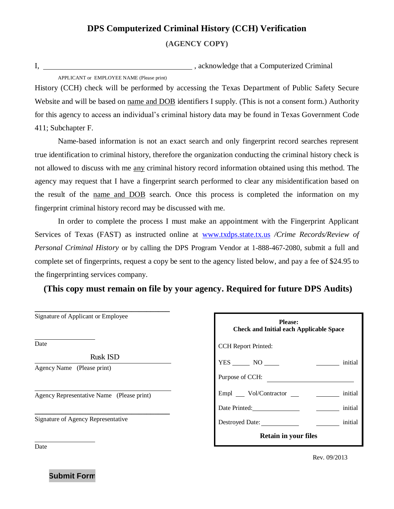# **DPS Computerized Criminal History (CCH) Verification**

**(AGENCY COPY)**

I,  $\blacksquare$ 

APPLICANT or EMPLOYEE NAME (Please print)

History (CCH) check will be performed by accessing the Texas Department of Public Safety Secure Website and will be based on name and DOB identifiers I supply. (This is not a consent form.) Authority for this agency to access an individual's criminal history data may be found in Texas Government Code 411; Subchapter F.

Name-based information is not an exact search and only fingerprint record searches represent true identification to criminal history, therefore the organization conducting the criminal history check is not allowed to discuss with me any criminal history record information obtained using this method. The agency may request that I have a fingerprint search performed to clear any misidentification based on the result of the name and DOB search. Once this process is completed the information on my fingerprint criminal history record may be discussed with me.

In order to complete the process I must make an appointment with the Fingerprint Applicant Services of Texas (FAST) as instructed online at [www.txdps.state.tx.us](http://www.txdps.state.tx.us/) */Crime Records/Review of Personal Criminal History* or by calling the DPS Program Vendor at 1-888-467-2080, submit a full and complete set of fingerprints, request a copy be sent to the agency listed below, and pay a fee of \$24.95 to the fingerprinting services company.

**(This copy must remain on file by your agency. Required for future DPS Audits)**

| Date                       |                                           |
|----------------------------|-------------------------------------------|
|                            | <b>Rusk ISD</b>                           |
| Agency Name (Please print) |                                           |
|                            | Agency Representative Name (Please print) |
|                            |                                           |

**\_\_\_\_\_\_\_\_\_\_\_\_\_\_\_\_\_\_\_\_\_\_\_\_\_\_\_\_\_\_\_\_\_\_\_**

| <b>Please:</b><br><b>Check and Initial each Applicable Space</b> |         |  |  |  |
|------------------------------------------------------------------|---------|--|--|--|
| <b>CCH</b> Report Printed:                                       |         |  |  |  |
| $YES$ NO $\qquad$<br>initial                                     |         |  |  |  |
| Purpose of CCH:                                                  |         |  |  |  |
| Empl __ Vol/Contractor __ _ _ _ _ _ _ initial                    |         |  |  |  |
| Date Printed:                                                    | initial |  |  |  |
| Destroyed Date:                                                  | initial |  |  |  |
| <b>Retain in your files</b>                                      |         |  |  |  |

Date

Rev. 09/2013

**Submit Form**